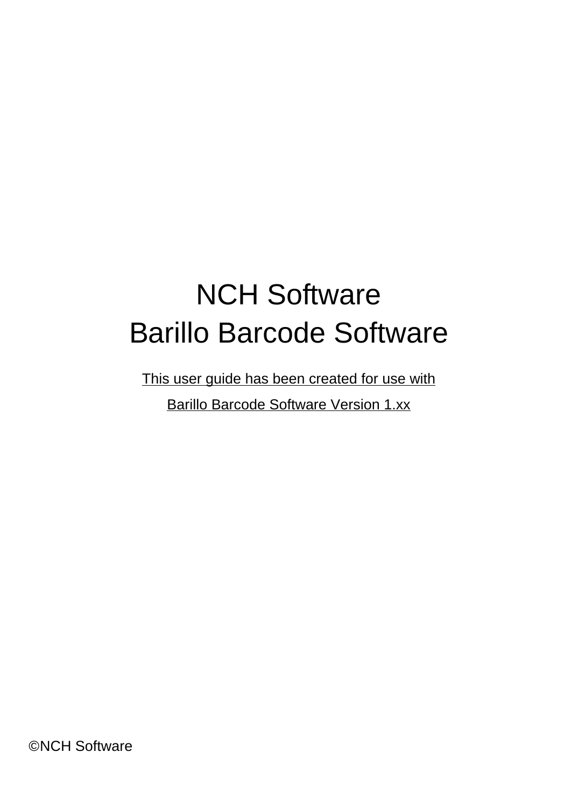## NCH Software Barillo Barcode Software

This user guide has been created for use with

Barillo Barcode Software Version 1.xx

©NCH Software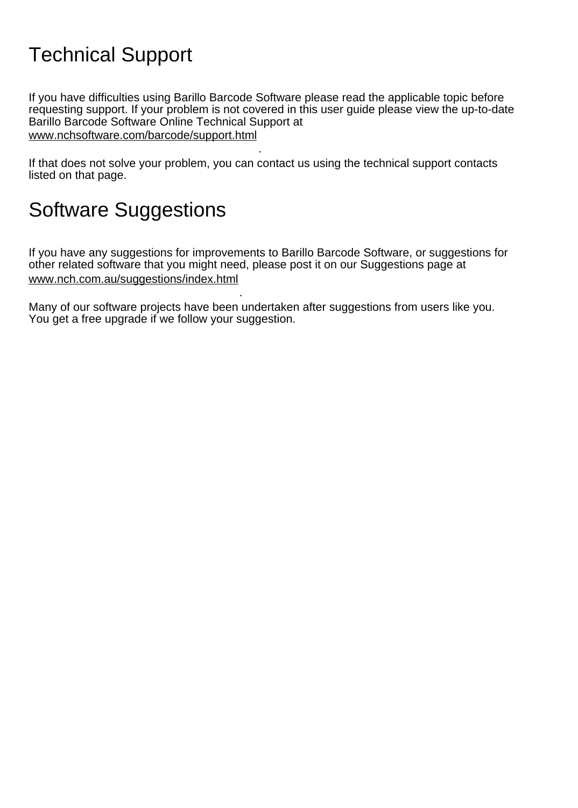## Technical Support

If you have difficulties using Barillo Barcode Software please read the applicable topic before requesting support. If your problem is not covered in this user guide please view the up-to-date Barillo Barcode Software Online Technical Support at <www.nchsoftware.com/barcode/support.html>

. If that does not solve your problem, you can contact us using the technical support contacts listed on that page.

## Software Suggestions

If you have any suggestions for improvements to Barillo Barcode Software, or suggestions for other related software that you might need, please post it on our Suggestions page at <www.nch.com.au/suggestions/index.html>

Many of our software projects have been undertaken after suggestions from users like you. You get a free upgrade if we follow your suggestion.

.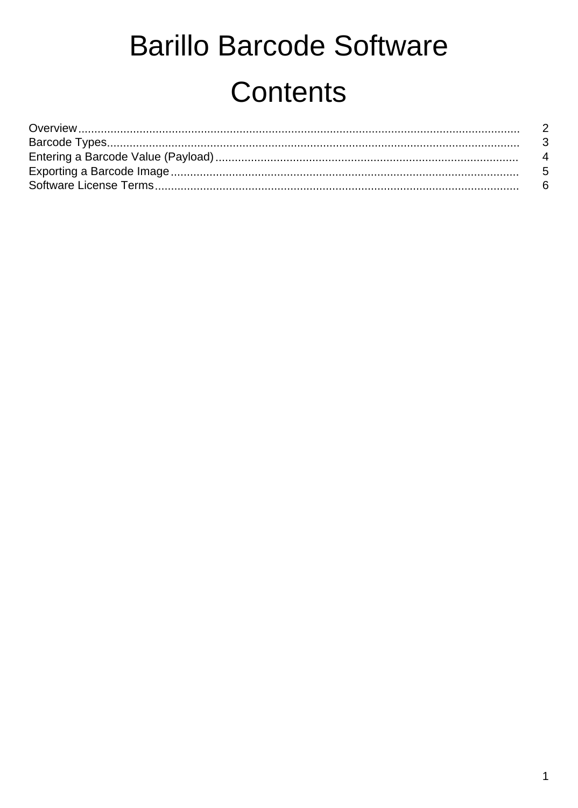# **Barillo Barcode Software** Contents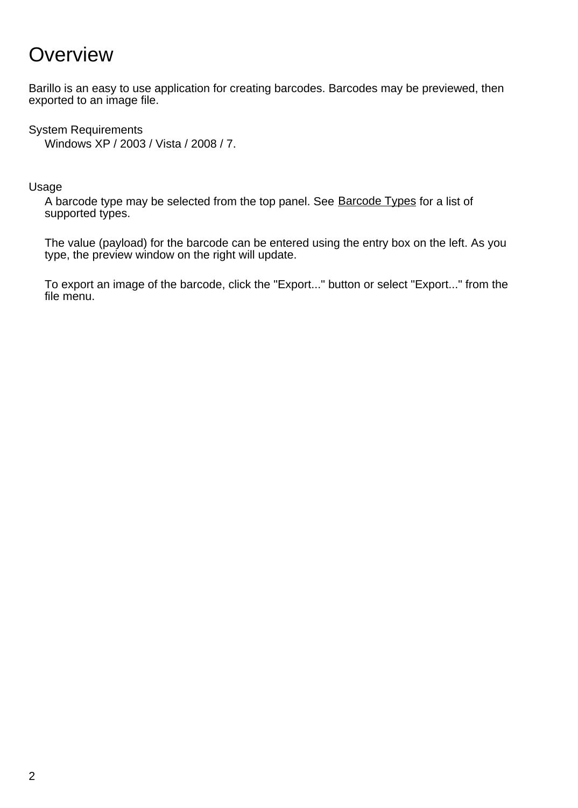## **Overview**

Barillo is an easy to use application for creating barcodes. Barcodes may be previewed, then exported to an image file.

System Requirements Windows XP / 2003 / Vista / 2008 / 7.

Usage

A barcode type may be selected from the top panel. See [Barcode Types](types.html) for a list of supported types.

The value (payload) for the barcode can be entered using the entry box on the left. As you type, the preview window on the right will update.

To export an image of the barcode, click the "Export..." button or select "Export..." from the file menu.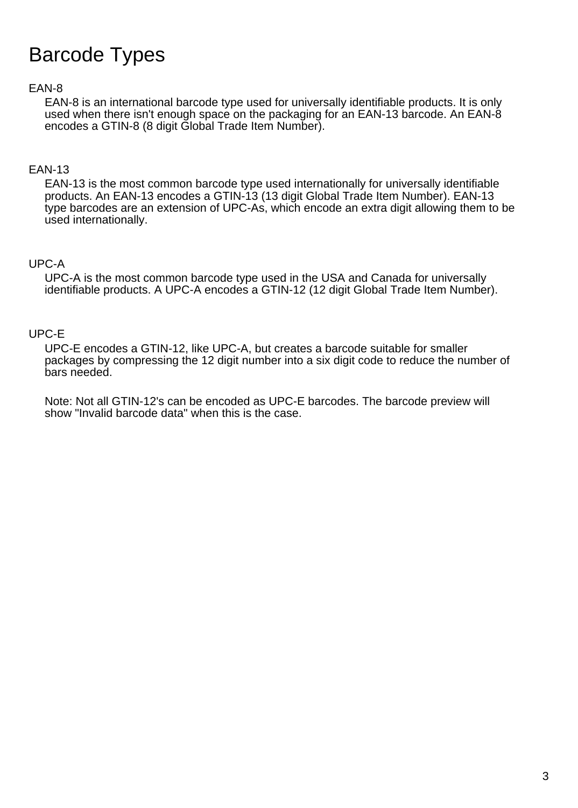## Barcode Types

#### EAN-8

EAN-8 is an international barcode type used for universally identifiable products. It is only used when there isn't enough space on the packaging for an EAN-13 barcode. An EAN-8 encodes a GTIN-8 (8 digit Global Trade Item Number).

#### EAN-13

EAN-13 is the most common barcode type used internationally for universally identifiable products. An EAN-13 encodes a GTIN-13 (13 digit Global Trade Item Number). EAN-13 type barcodes are an extension of UPC-As, which encode an extra digit allowing them to be used internationally.

#### UPC-A

UPC-A is the most common barcode type used in the USA and Canada for universally identifiable products. A UPC-A encodes a GTIN-12 (12 digit Global Trade Item Number).

#### UPC-E

UPC-E encodes a GTIN-12, like UPC-A, but creates a barcode suitable for smaller packages by compressing the 12 digit number into a six digit code to reduce the number of bars needed.

Note: Not all GTIN-12's can be encoded as UPC-E barcodes. The barcode preview will show "Invalid barcode data" when this is the case.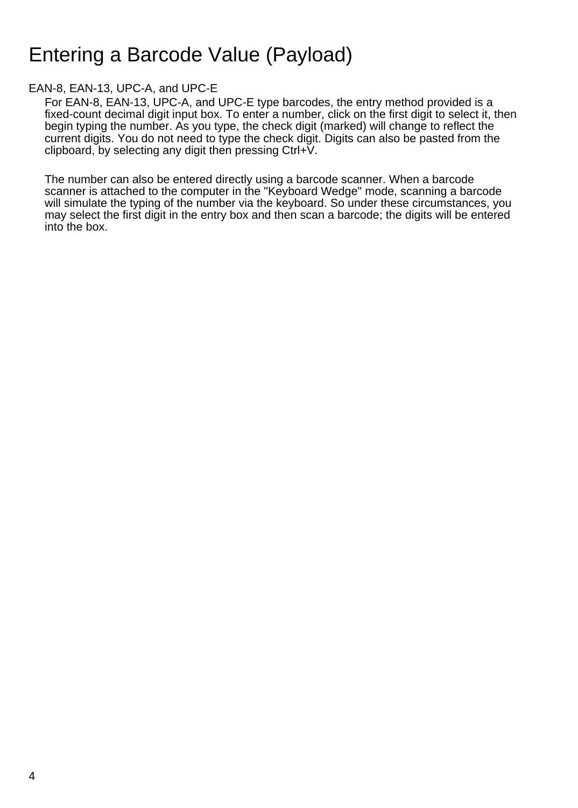## Entering a Barcode Value (Payload)

#### EAN-8, EAN-13, UPC-A, and UPC-E

For EAN-8, EAN-13, UPC-A, and UPC-E type barcodes, the entry method provided is a fixed-count decimal digit input box. To enter a number, click on the first digit to select it, then begin typing the number. As you type, the check digit (marked) will change to reflect the current digits. You do not need to type the check digit. Digits can also be pasted from the clipboard, by selecting any digit then pressing Ctrl+V.

The number can also be entered directly using a barcode scanner. When a barcode scanner is attached to the computer in the "Keyboard Wedge" mode, scanning a barcode will simulate the typing of the number via the keyboard. So under these circumstances, you may select the first digit in the entry box and then scan a barcode; the digits will be entered into the box.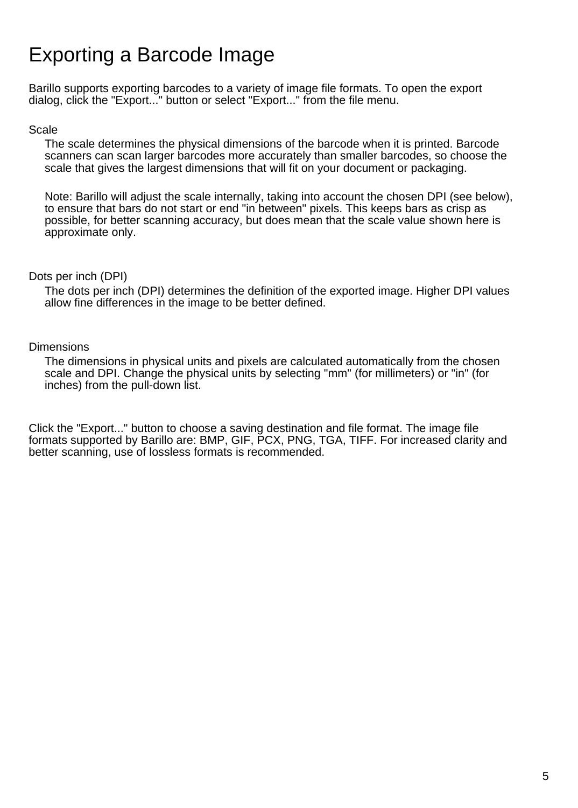## Exporting a Barcode Image

Barillo supports exporting barcodes to a variety of image file formats. To open the export dialog, click the "Export..." button or select "Export..." from the file menu.

#### Scale

The scale determines the physical dimensions of the barcode when it is printed. Barcode scanners can scan larger barcodes more accurately than smaller barcodes, so choose the scale that gives the largest dimensions that will fit on your document or packaging.

Note: Barillo will adjust the scale internally, taking into account the chosen DPI (see below), to ensure that bars do not start or end "in between" pixels. This keeps bars as crisp as possible, for better scanning accuracy, but does mean that the scale value shown here is approximate only.

#### Dots per inch (DPI)

The dots per inch (DPI) determines the definition of the exported image. Higher DPI values allow fine differences in the image to be better defined.

#### **Dimensions**

The dimensions in physical units and pixels are calculated automatically from the chosen scale and DPI. Change the physical units by selecting "mm" (for millimeters) or "in" (for inches) from the pull-down list.

Click the "Export..." button to choose a saving destination and file format. The image file formats supported by Barillo are: BMP, GIF, PCX, PNG, TGA, TIFF. For increased clarity and better scanning, use of lossless formats is recommended.